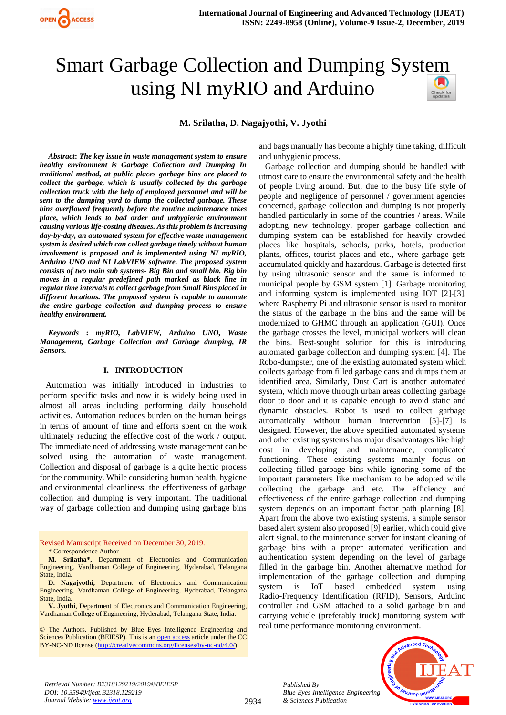# Smart Garbage Collection and Dumping Syst[em](https://crossmark.crossref.org/dialog/?doi=10.35940/ijeat.B2318.129219&domain=www.ijeat.org)  using NI myRIO and Arduino

**M. Srilatha, D. Nagajyothi, V. Jyothi**

*Abstract***:** *The key issue in waste management system to ensure healthy environment is Garbage Collection and Dumping In traditional method, at public places garbage bins are placed to collect the garbage, which is usually collected by the garbage collection truck with the help of employed personnel and will be sent to the dumping yard to dump the collected garbage. These bins overflowed frequently before the routine maintenance takes place, which leads to bad order and unhygienic environment causing various life-costing diseases. As this problem is increasing day-by-day, an automated system for effective waste management system is desired which can collect garbage timely without human involvement is proposed and is implemented using NI myRIO, Arduino UNO and NI LabVIEW software. The proposed system consists of two main sub systems- Big Bin and small bin. Big bin moves in a regular predefined path marked as black line in regular time intervals to collect garbage from Small Bins placed in different locations. The proposed system is capable to automate the entire garbage collection and dumping process to ensure healthy environment.*

*Keywords* **:** *myRIO, LabVIEW, Arduino UNO, Waste Management, Garbage Collection and Garbage dumping, IR Sensors.* 

# **I. INTRODUCTION**

Automation was initially introduced in industries to perform specific tasks and now it is widely being used in almost all areas including performing daily household activities. Automation reduces burden on the human beings in terms of amount of time and efforts spent on the work ultimately reducing the effective cost of the work / output. The immediate need of addressing waste management can be solved using the automation of waste management. Collection and disposal of garbage is a quite hectic process for the community. While considering human health, hygiene and environmental cleanliness, the effectiveness of garbage collection and dumping is very important. The traditional way of garbage collection and dumping using garbage bins

Revised Manuscript Received on December 30, 2019. \* Correspondence Author

**M. Srilatha\*,** Department of Electronics and Communication Engineering, Vardhaman College of Engineering, Hyderabad, Telangana State, India.

**D. Nagajyothi,** Department of Electronics and Communication Engineering, Vardhaman College of Engineering, Hyderabad, Telangana State, India.

**V. Jyothi**, Department of Electronics and Communication Engineering, Vardhaman College of Engineering, Hyderabad, Telangana State, India.

© The Authors. Published by Blue Eyes Intelligence Engineering and Sciences Publication (BEIESP). This is a[n open access](https://www.openaccess.nl/en/open-publications) article under the CC BY-NC-ND license [\(http://creativecommons.org/licenses/by-nc-nd/4.0/\)](http://creativecommons.org/licenses/by-nc-nd/4.0/)

and bags manually has become a highly time taking, difficult and unhygienic process.

Garbage collection and dumping should be handled with utmost care to ensure the environmental safety and the health of people living around. But, due to the busy life style of people and negligence of personnel / government agencies concerned, garbage collection and dumping is not properly handled particularly in some of the countries / areas. While adopting new technology, proper garbage collection and dumping system can be established for heavily crowded places like hospitals, schools, parks, hotels, production plants, offices, tourist places and etc., where garbage gets accumulated quickly and hazardous. Garbage is detected first by using ultrasonic sensor and the same is informed to municipal people by GSM system [1]. Garbage monitoring and informing system is implemented using IOT [2]-[3], where Raspberry Pi and ultrasonic sensor is used to monitor the status of the garbage in the bins and the same will be modernized to GHMC through an application (GUI). Once the garbage crosses the level, municipal workers will clean the bins. Best-sought solution for this is introducing automated garbage collection and dumping system [4]. The Robo-dumpster, one of the existing automated system which collects garbage from filled garbage cans and dumps them at identified area. Similarly, Dust Cart is another automated system, which move through urban areas collecting garbage door to door and it is capable enough to avoid static and dynamic obstacles. Robot is used to collect garbage automatically without human intervention [5]-[7] is designed. However, the above specified automated systems and other existing systems has major disadvantages like high cost in developing and maintenance, complicated functioning. These existing systems mainly focus on collecting filled garbage bins while ignoring some of the important parameters like mechanism to be adopted while collecting the garbage and etc. The efficiency and effectiveness of the entire garbage collection and dumping system depends on an important factor path planning [8]. Apart from the above two existing systems, a simple sensor based alert system also proposed [9] earlier, which could give alert signal, to the maintenance server for instant cleaning of garbage bins with a proper automated verification and authentication system depending on the level of garbage filled in the garbage bin. Another alternative method for implementation of the garbage collection and dumping system is IoT based embedded system using Radio-Frequency Identification (RFID), Sensors, Arduino controller and GSM attached to a solid garbage bin and carrying vehicle (preferably truck) monitoring system with real time performance monitoring environment.

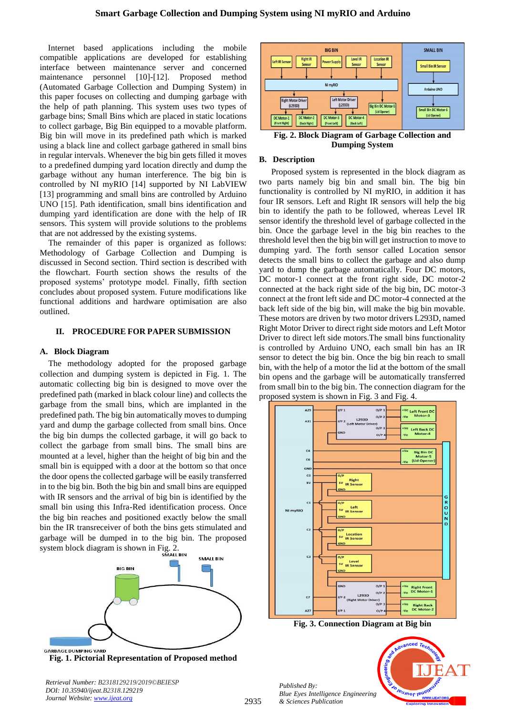Internet based applications including the mobile compatible applications are developed for establishing interface between maintenance server and concerned maintenance personnel [10]-[12]. Proposed method (Automated Garbage Collection and Dumping System) in this paper focuses on collecting and dumping garbage with the help of path planning. This system uses two types of garbage bins; Small Bins which are placed in static locations to collect garbage, Big Bin equipped to a movable platform. Big bin will move in its predefined path which is marked using a black line and collect garbage gathered in small bins in regular intervals. Whenever the big bin gets filled it moves to a predefined dumping yard location directly and dump the garbage without any human interference. The big bin is controlled by NI myRIO [14] supported by NI LabVIEW [13] programming and small bins are controlled by Arduino UNO [15]. Path identification, small bins identification and dumping yard identification are done with the help of IR sensors. This system will provide solutions to the problems that are not addressed by the existing systems.

The remainder of this paper is organized as follows: Methodology of Garbage Collection and Dumping is discussed in Second section. Third section is described with the flowchart. Fourth section shows the results of the proposed systems' prototype model. Finally, fifth section concludes about proposed system. Future modifications like functional additions and hardware optimisation are also outlined.

## **II. PROCEDURE FOR PAPER SUBMISSION**

## **A. Block Diagram**

The methodology adopted for the proposed garbage collection and dumping system is depicted in Fig. 1. The automatic collecting big bin is designed to move over the predefined path (marked in black colour line) and collects the garbage from the small bins, which are implanted in the predefined path. The big bin automatically moves to dumping yard and dump the garbage collected from small bins. Once the big bin dumps the collected garbage, it will go back to collect the garbage from small bins. The small bins are mounted at a level, higher than the height of big bin and the small bin is equipped with a door at the bottom so that once the door opens the collected garbage will be easily transferred in to the big bin. Both the big bin and small bins are equipped with IR sensors and the arrival of big bin is identified by the small bin using this Infra-Red identification process. Once the big bin reaches and positioned exactly below the small bin the IR transreceiver of both the bins gets stimulated and garbage will be dumped in to the big bin. The proposed system block diagram is shown in Fig. 2.



**Fig. 1. Pictorial Representation of Proposed method**

*Retrieval Number: B2318129219/2019©BEIESP DOI: 10.35940/ijeat.B2318.129219 Journal Website[: www.ijeat.org](http://www.ijeat.org/)*



**Fig. 2. Block Diagram of Garbage Collection and Dumping System**

## **B. Description**

Proposed system is represented in the block diagram as two parts namely big bin and small bin. The big bin functionality is controlled by NI myRIO, in addition it has four IR sensors. Left and Right IR sensors will help the big bin to identify the path to be followed, whereas Level IR sensor identify the threshold level of garbage collected in the bin. Once the garbage level in the big bin reaches to the threshold level then the big bin will get instruction to move to dumping yard. The forth sensor called Location sensor detects the small bins to collect the garbage and also dump yard to dump the garbage automatically. Four DC motors, DC motor-1 connect at the front right side, DC motor-2 connected at the back right side of the big bin, DC motor-3 connect at the front left side and DC motor-4 connected at the back left side of the big bin, will make the big bin movable. These motors are driven by two motor drivers L293D, named Right Motor Driver to direct right side motors and Left Motor Driver to direct left side motors.The small bins functionality is controlled by Arduino UNO, each small bin has an IR sensor to detect the big bin. Once the big bin reach to small bin, with the help of a motor the lid at the bottom of the small bin opens and the garbage will be automatically transferred from small bin to the big bin. The connection diagram for the proposed system is shown in Fig. 3 and Fig. 4.



**Fig. 3. Connection Diagram at Big bin**



*Published By: Blue Eyes Intelligence Engineering & Sciences Publication*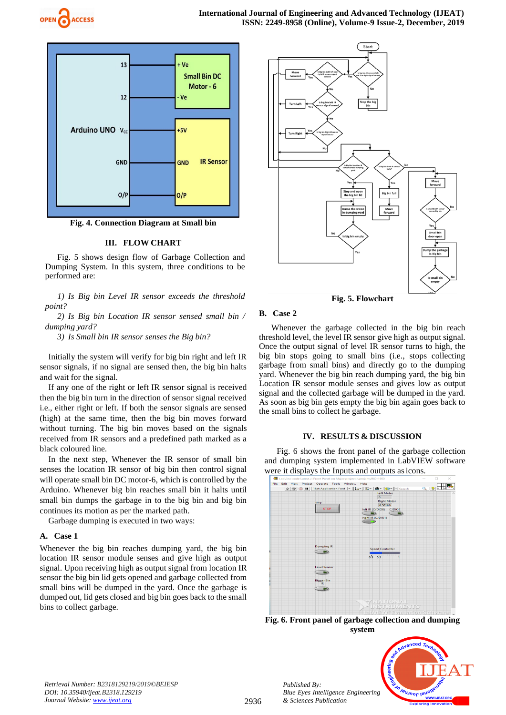



**Fig. 4. Connection Diagram at Small bin**

## **III. FLOW CHART**

Fig. 5 shows design flow of Garbage Collection and Dumping System. In this system, three conditions to be performed are:

*1) Is Big bin Level IR sensor exceeds the threshold point?*

*2) Is Big bin Location IR sensor sensed small bin / dumping yard?*

*3) Is Small bin IR sensor senses the Big bin?*

Initially the system will verify for big bin right and left IR sensor signals, if no signal are sensed then, the big bin halts and wait for the signal.

If any one of the right or left IR sensor signal is received then the big bin turn in the direction of sensor signal received i.e., either right or left. If both the sensor signals are sensed (high) at the same time, then the big bin moves forward without turning. The big bin moves based on the signals received from IR sensors and a predefined path marked as a black coloured line.

In the next step, Whenever the IR sensor of small bin senses the location IR sensor of big bin then control signal will operate small bin DC motor-6, which is controlled by the Arduino. Whenever big bin reaches small bin it halts until small bin dumps the garbage in to the big bin and big bin continues its motion as per the marked path.

Garbage dumping is executed in two ways:

# **A. Case 1**

Whenever the big bin reaches dumping yard, the big bin location IR sensor module senses and give high as output signal. Upon receiving high as output signal from location IR sensor the big bin lid gets opened and garbage collected from small bins will be dumped in the yard. Once the garbage is dumped out, lid gets closed and big bin goes back to the small bins to collect garbage.



**Fig. 5. Flowchart**

# **B. Case 2**

Whenever the garbage collected in the big bin reach threshold level, the level IR sensor give high as output signal. Once the output signal of level IR sensor turns to high, the big bin stops going to small bins (i.e., stops collecting garbage from small bins) and directly go to the dumping yard. Whenever the big bin reach dumping yard, the big bin Location IR sensor module senses and gives low as output signal and the collected garbage will be dumped in the yard. As soon as big bin gets empty the big bin again goes back to the small bins to collect he garbage.

## **IV. RESULTS & DISCUSSION**

Fig. 6 shows the front panel of the garbage collection and dumping system implemented in LabVIEW software



**Fig. 6. Front panel of garbage collection and dumping system**



*Published By:*

*& Sciences Publication*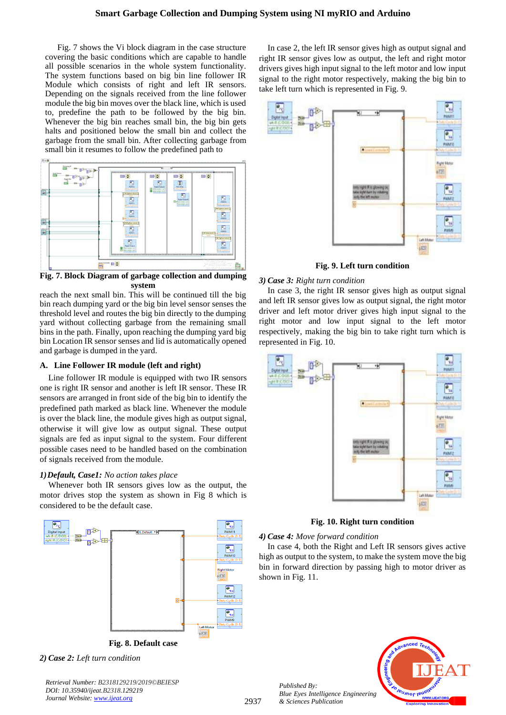# **Smart Garbage Collection and Dumping System using NI myRIO and Arduino**

Fig. 7 shows the Vi block diagram in the case structure covering the basic conditions which are capable to handle all possible scenarios in the whole system functionality. The system functions based on big bin line follower IR Module which consists of right and left IR sensors. Depending on the signals received from the line follower module the big bin moves over the black line, which is used to, predefine the path to be followed by the big bin. Whenever the big bin reaches small bin, the big bin gets halts and positioned below the small bin and collect the garbage from the small bin. After collecting garbage from small bin it resumes to follow the predefined path to



**Fig. 7. Block Diagram of garbage collection and dumping system**

reach the next small bin. This will be continued till the big bin reach dumping yard or the big bin level sensor senses the threshold level and routes the big bin directly to the dumping yard without collecting garbage from the remaining small bins in the path. Finally, upon reaching the dumping yard big bin Location IR sensor senses and lid is automatically opened and garbage is dumped in the yard.

## **A. Line Follower IR module (left and right)**

Line follower IR module is equipped with two IR sensors one is right IR sensor and another is left IR sensor. These IR sensors are arranged in front side of the big bin to identify the predefined path marked as black line. Whenever the module is over the black line, the module gives high as output signal, otherwise it will give low as output signal. These output signals are fed as input signal to the system. Four different possible cases need to be handled based on the combination of signals received from themodule.

#### *1)Default, Case1: No action takes place*

Whenever both IR sensors gives low as the output, the motor drives stop the system as shown in Fig 8 which is considered to be the default case.



**Fig. 8. Default case**

*2) Case 2: Left turn condition*

*Retrieval Number: B2318129219/2019©BEIESP DOI: 10.35940/ijeat.B2318.129219 Journal Website[: www.ijeat.org](http://www.ijeat.org/)*

In case 2, the left IR sensor gives high as output signal and right IR sensor gives low as output, the left and right motor drivers gives high input signal to the left motor and low input signal to the right motor respectively, making the big bin to take left turn which is represented in Fig. 9.



**Fig. 9. Left turn condition**

#### *3) Case 3: Right turn condition*

In case 3, the right IR sensor gives high as output signal and left IR sensor gives low as output signal, the right motor driver and left motor driver gives high input signal to the right motor and low input signal to the left motor respectively, making the big bin to take right turn which is represented in Fig. 10.



**Fig. 10. Right turn condition**

*4) Case 4: Move forward condition*

In case 4, both the Right and Left IR sensors gives active high as output to the system, to make the system move the big bin in forward direction by passing high to motor driver as shown in Fig. 11.

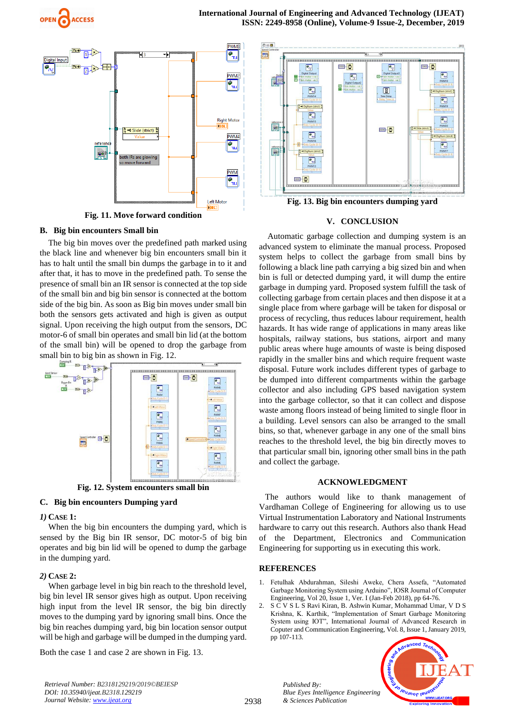



**Fig. 11. Move forward condition**

## **B. Big bin encounters Small bin**

The big bin moves over the predefined path marked using the black line and whenever big bin encounters small bin it has to halt until the small bin dumps the garbage in to it and after that, it has to move in the predefined path. To sense the presence of small bin an IR sensor is connected at the top side of the small bin and big bin sensor is connected at the bottom side of the big bin. As soon as Big bin moves under small bin both the sensors gets activated and high is given as output signal. Upon receiving the high output from the sensors, DC motor-6 of small bin operates and small bin lid (at the bottom of the small bin) will be opened to drop the garbage from small bin to big bin as shown in Fig. 12.



**Fig. 12. System encounters small bin**

## **C. Big bin encounters Dumping yard**

## *1)* **CASE 1:**

When the big bin encounters the dumping yard, which is sensed by the Big bin IR sensor, DC motor-5 of big bin operates and big bin lid will be opened to dump the garbage in the dumping yard.

# *2)* **CASE 2:**

When garbage level in big bin reach to the threshold level, big bin level IR sensor gives high as output. Upon receiving high input from the level IR sensor, the big bin directly moves to the dumping yard by ignoring small bins. Once the big bin reaches dumping yard, big bin location sensor output will be high and garbage will be dumped in the dumping yard.

Both the case 1 and case 2 are shown in Fig. 13.



**Fig. 13. Big bin encounters dumping yard**

# **V. CONCLUSION**

Automatic garbage collection and dumping system is an advanced system to eliminate the manual process. Proposed system helps to collect the garbage from small bins by following a black line path carrying a big sized bin and when bin is full or detected dumping yard, it will dump the entire garbage in dumping yard. Proposed system fulfill the task of collecting garbage from certain places and then dispose it at a single place from where garbage will be taken for disposal or process of recycling, thus reduces labour requirement, health hazards. It has wide range of applications in many areas like hospitals, railway stations, bus stations, airport and many public areas where huge amounts of waste is being disposed rapidly in the smaller bins and which require frequent waste disposal. Future work includes different types of garbage to be dumped into different compartments within the garbage collector and also including GPS based navigation system into the garbage collector, so that it can collect and dispose waste among floors instead of being limited to single floor in a building. Level sensors can also be arranged to the small bins, so that, whenever garbage in any one of the small bins reaches to the threshold level, the big bin directly moves to that particular small bin, ignoring other small bins in the path and collect the garbage.

## **ACKNOWLEDGMENT**

The authors would like to thank management of Vardhaman College of Engineering for allowing us to use Virtual Instrumentation Laboratory and National Instruments hardware to carry out this research. Authors also thank Head of the Department, Electronics and Communication Engineering for supporting us in executing this work.

## **REFERENCES**

*Published By:*

*& Sciences Publication* 

- 1. Fetulhak Abdurahman, Sileshi Aweke, Chera Assefa, "Automated Garbage Monitoring System using Arduino", IOSR Journal of Computer Engineering, Vol 20, Issue 1, Ver. I (Jan-Feb 2018), pp 64-76.
- 2. S C V S L S Ravi Kiran, B. Ashwin Kumar, Mohammad Umar, V D S Krishna, K. Karthik, "Implementation of Smart Garbage Monitoring System using IOT", International Journal of Advanced Research in Coputer and Communication Engineering, Vol. 8, Issue 1, January 2019, pp 107-113.